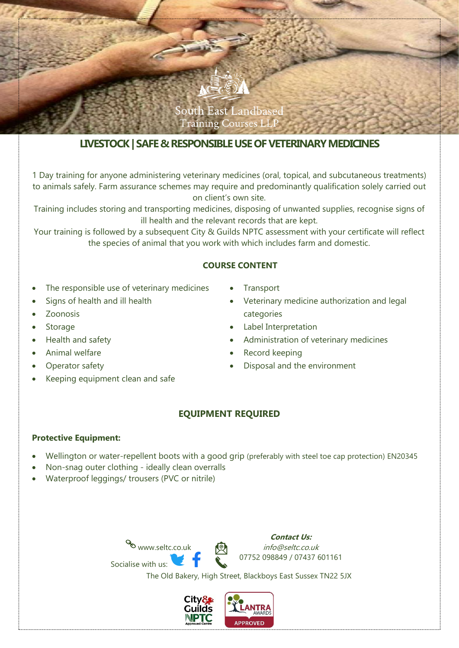

# **LIVESTOCK| SAFE & RESPONSIBLE USE OF VETERINARY MEDICINES**

1 Day training for anyone administering veterinary medicines (oral, topical, and subcutaneous treatments) to animals safely. Farm assurance schemes may require and predominantly qualification solely carried out on client's own site.

Training includes storing and transporting medicines, disposing of unwanted supplies, recognise signs of ill health and the relevant records that are kept.

Your training is followed by a subsequent City & Guilds NPTC assessment with your certificate will reflect the species of animal that you work with which includes farm and domestic.

## **COURSE CONTENT**

- The responsible use of veterinary medicines
- Signs of health and ill health
- Zoonosis
- **Storage**
- Health and safety
- Animal welfare
- Operator safety
- Keeping equipment clean and safe
- **Transport**
- Veterinary medicine authorization and legal categories
- Label Interpretation
- Administration of veterinary medicines
- Record keeping
- Disposal and the environment

# **EQUIPMENT REQUIRED**

#### **Protective Equipment:**

- Wellington or water-repellent boots with a good grip (preferably with steel toe cap protection) EN20345
- Non-snag outer clothing ideally clean overralls
- Waterproof leggings/ trousers (PVC or nitrile)





The Old Bakery, High Street, Blackboys East Sussex TN22 5JX